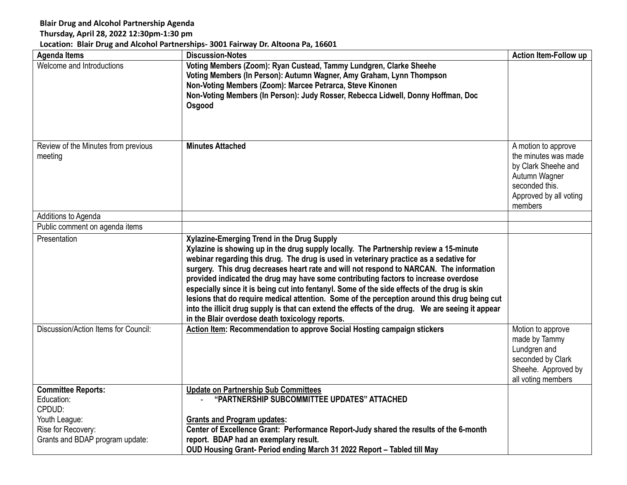## **Blair Drug and Alcohol Partnership Agenda**

## **Thursday, April 28, 2022 12:30pm-1:30 pm**

## **Location: Blair Drug and Alcohol Partnerships- 3001 Fairway Dr. Altoona Pa, 16601**

| <b>Agenda Items</b>                               | <b>Discussion-Notes</b>                                                                                                                                                                                                                                                                                                                                                                                                                                                                                                                                                                                                                                                                                                                                                | Action Item-Follow up                                                                                                                      |
|---------------------------------------------------|------------------------------------------------------------------------------------------------------------------------------------------------------------------------------------------------------------------------------------------------------------------------------------------------------------------------------------------------------------------------------------------------------------------------------------------------------------------------------------------------------------------------------------------------------------------------------------------------------------------------------------------------------------------------------------------------------------------------------------------------------------------------|--------------------------------------------------------------------------------------------------------------------------------------------|
| Welcome and Introductions                         | Voting Members (Zoom): Ryan Custead, Tammy Lundgren, Clarke Sheehe<br>Voting Members (In Person): Autumn Wagner, Amy Graham, Lynn Thompson<br>Non-Voting Members (Zoom): Marcee Petrarca, Steve Kinonen<br>Non-Voting Members (In Person): Judy Rosser, Rebecca Lidwell, Donny Hoffman, Doc<br>Osgood                                                                                                                                                                                                                                                                                                                                                                                                                                                                  |                                                                                                                                            |
| Review of the Minutes from previous<br>meeting    | <b>Minutes Attached</b>                                                                                                                                                                                                                                                                                                                                                                                                                                                                                                                                                                                                                                                                                                                                                | A motion to approve<br>the minutes was made<br>by Clark Sheehe and<br>Autumn Wagner<br>seconded this.<br>Approved by all voting<br>members |
| Additions to Agenda                               |                                                                                                                                                                                                                                                                                                                                                                                                                                                                                                                                                                                                                                                                                                                                                                        |                                                                                                                                            |
| Public comment on agenda items                    |                                                                                                                                                                                                                                                                                                                                                                                                                                                                                                                                                                                                                                                                                                                                                                        |                                                                                                                                            |
| Presentation                                      | Xylazine-Emerging Trend in the Drug Supply<br>Xylazine is showing up in the drug supply locally. The Partnership review a 15-minute<br>webinar regarding this drug. The drug is used in veterinary practice as a sedative for<br>surgery. This drug decreases heart rate and will not respond to NARCAN. The information<br>provided indicated the drug may have some contributing factors to increase overdose<br>especially since it is being cut into fentanyl. Some of the side effects of the drug is skin<br>lesions that do require medical attention. Some of the perception around this drug being cut<br>into the illicit drug supply is that can extend the effects of the drug. We are seeing it appear<br>in the Blair overdose death toxicology reports. |                                                                                                                                            |
| Discussion/Action Items for Council:              | <b>Action Item: Recommendation to approve Social Hosting campaign stickers</b>                                                                                                                                                                                                                                                                                                                                                                                                                                                                                                                                                                                                                                                                                         | Motion to approve<br>made by Tammy<br>Lundgren and<br>seconded by Clark<br>Sheehe. Approved by<br>all voting members                       |
| <b>Committee Reports:</b><br>Education:<br>CPDUD: | <b>Update on Partnership Sub Committees</b><br>"PARTNERSHIP SUBCOMMITTEE UPDATES" ATTACHED                                                                                                                                                                                                                                                                                                                                                                                                                                                                                                                                                                                                                                                                             |                                                                                                                                            |
| Youth League:                                     | <b>Grants and Program updates:</b>                                                                                                                                                                                                                                                                                                                                                                                                                                                                                                                                                                                                                                                                                                                                     |                                                                                                                                            |
| Rise for Recovery:                                | Center of Excellence Grant: Performance Report-Judy shared the results of the 6-month                                                                                                                                                                                                                                                                                                                                                                                                                                                                                                                                                                                                                                                                                  |                                                                                                                                            |
| Grants and BDAP program update:                   | report. BDAP had an exemplary result.                                                                                                                                                                                                                                                                                                                                                                                                                                                                                                                                                                                                                                                                                                                                  |                                                                                                                                            |
|                                                   | OUD Housing Grant- Period ending March 31 2022 Report - Tabled till May                                                                                                                                                                                                                                                                                                                                                                                                                                                                                                                                                                                                                                                                                                |                                                                                                                                            |